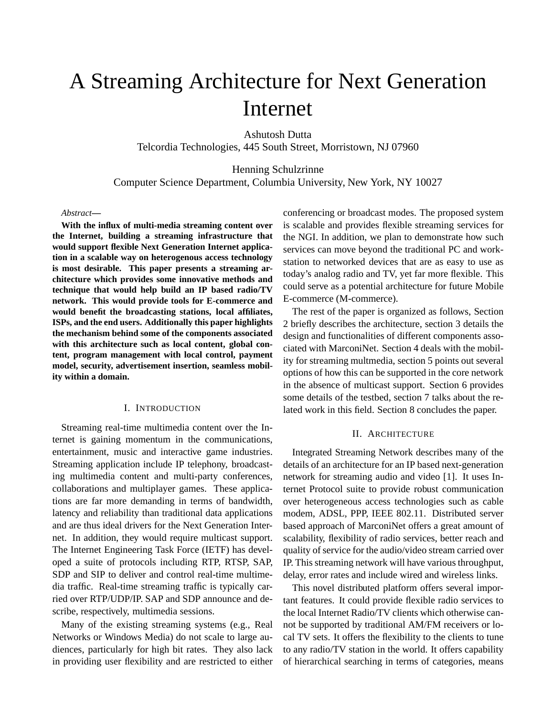# A Streaming Architecture for Next Generation Internet

Ashutosh Dutta Telcordia Technologies, 445 South Street, Morristown, NJ 07960

Henning Schulzrinne Computer Science Department, Columbia University, New York, NY 10027

#### *Abstract***—**

**With the influx of multi-media streaming content over the Internet, building a streaming infrastructure that would support flexible Next Generation Internet application in a scalable way on heterogenous access technology is most desirable. This paper presents a streaming architecture which provides some innovative methods and technique that would help build an IP based radio/TV network. This would provide tools for E-commerce and would benefit the broadcasting stations, local affiliates, ISPs, and the end users. Additionally this paper highlights the mechanism behind some of the components associated with this architecture such as local content, global content, program management with local control, payment model, security, advertisement insertion, seamless mobility within a domain.**

# I. INTRODUCTION

Streaming real-time multimedia content over the Internet is gaining momentum in the communications, entertainment, music and interactive game industries. Streaming application include IP telephony, broadcasting multimedia content and multi-party conferences, collaborations and multiplayer games. These applications are far more demanding in terms of bandwidth, latency and reliability than traditional data applications and are thus ideal drivers for the Next Generation Internet. In addition, they would require multicast support. The Internet Engineering Task Force (IETF) has developed a suite of protocols including RTP, RTSP, SAP, SDP and SIP to deliver and control real-time multimedia traffic. Real-time streaming traffic is typically carried over RTP/UDP/IP. SAP and SDP announce and describe, respectively, multimedia sessions.

Many of the existing streaming systems (e.g., Real Networks or Windows Media) do not scale to large audiences, particularly for high bit rates. They also lack in providing user flexibility and are restricted to either conferencing or broadcast modes. The proposed system is scalable and provides flexible streaming services for the NGI. In addition, we plan to demonstrate how such services can move beyond the traditional PC and workstation to networked devices that are as easy to use as today's analog radio and TV, yet far more flexible. This could serve as a potential architecture for future Mobile E-commerce (M-commerce).

The rest of the paper is organized as follows, Section 2 briefly describes the architecture, section 3 details the design and functionalities of different components associated with MarconiNet. Section 4 deals with the mobility for streaming multmedia, section 5 points out several options of how this can be supported in the core network in the absence of multicast support. Section 6 provides some details of the testbed, section 7 talks about the related work in this field. Section 8 concludes the paper.

### II. ARCHITECTURE

Integrated Streaming Network describes many of the details of an architecture for an IP based next-generation network for streaming audio and video [1]. It uses Internet Protocol suite to provide robust communication over heterogeneous access technologies such as cable modem, ADSL, PPP, IEEE 802.11. Distributed server based approach of MarconiNet offers a great amount of scalability, flexibility of radio services, better reach and quality of service for the audio/video stream carried over IP. Thisstreaming network will have various throughput, delay, error rates and include wired and wireless links.

This novel distributed platform offers several important features. It could provide flexible radio services to the local Internet Radio/TV clients which otherwise cannot be supported by traditional AM/FM receivers or local TV sets. It offers the flexibility to the clients to tune to any radio/TV station in the world. It offers capability of hierarchical searching in terms of categories, means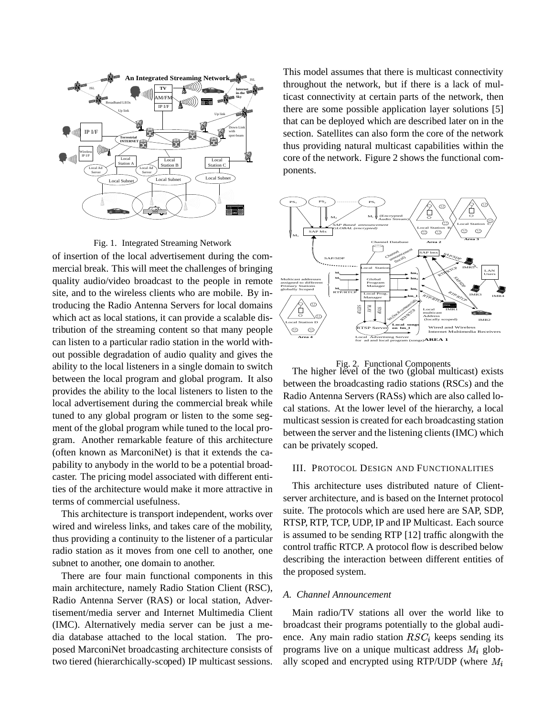

#### Fig. 1. Integrated Streaming Network

of insertion of the local advertisement during the commercial break. This will meet the challenges of bringing quality audio/video broadcast to the people in remote site, and to the wireless clients who are mobile. By introducing the Radio Antenna Servers for local domains which act as local stations, it can provide a scalable distribution of the streaming content so that many people can listen to a particular radio station in the world without possible degradation of audio quality and gives the ability to the local listeners in a single domain to switch between the local program and global program. It also provides the ability to the local listeners to listen to the local advertisement during the commercial break while tuned to any global program or listen to the some segment of the global program while tuned to the local program. Another remarkable feature of this architecture (often known as MarconiNet) is that it extends the capability to anybody in the world to be a potential broadcaster. The pricing model associated with different entities of the architecture would make it more attractive in terms of commercial usefulness.

This architecture is transport independent, works over wired and wireless links, and takes care of the mobility, thus providing a continuity to the listener of a particular radio station as it moves from one cell to another, one subnet to another, one domain to another.

There are four main functional components in this main architecture, namely Radio Station Client (RSC), Radio Antenna Server (RAS) or local station, Advertisement/media server and Internet Multimedia Client (IMC). Alternatively media server can be just a media database attached to the local station. The proposed MarconiNet broadcasting architecture consists of two tiered (hierarchically-scoped) IP multicast sessions. This model assumes that there is multicast connectivity throughout the network, but if there is a lack of multicast connectivity at certain parts of the network, then there are some possible application layer solutions [5] that can be deployed which are described later on in the section. Satellites can also form the core of the network thus providing natural multicast capabilities within the core of the network. Figure 2 shows the functional components.





The higher level of the two (global multicast) exists between the broadcasting radio stations (RSCs) and the Radio Antenna Servers (RASs) which are also called local stations. At the lower level of the hierarchy, a local multicast session is created for each broadcasting station between the server and the listening clients(IMC) which can be privately scoped.

# III. PROTOCOL DESIGN AND FUNCTIONALITIES

This architecture uses distributed nature of Clientserver architecture, and is based on the Internet protocol suite. The protocols which are used here are SAP, SDP, RTSP, RTP, TCP, UDP, IP and IP Multicast. Each source is assumed to be sending RTP [12] traffic alongwith the control traffic RTCP. A protocol flow is described below describing the interaction between different entities of the proposed system.

## *A. Channel Announcement*

Main radio/TV stations all over the world like to broadcast their programs potentially to the global audience. Any main radio station  $RSC_i$  keeps sending its programs live on a unique multicast address  $M_i$  globally scoped and encrypted using RTP/UDP (where  $M_i$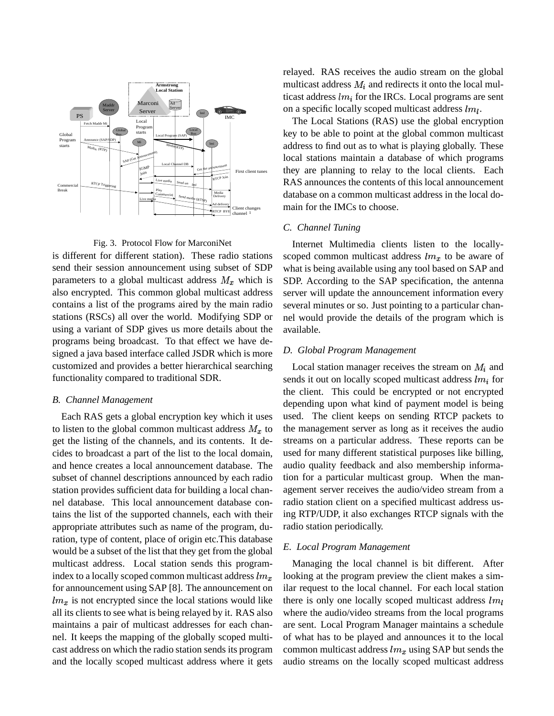

Fig. 3. Protocol Flow for MarconiNet

is different for different station). These radio stations send their session announcement using subset of SDP parameters to a global multicast address  $M_x$  which is also encrypted. This common global multicast address contains a list of the programs aired by the main radio stations (RSCs) all over the world. Modifying SDP or using a variant of SDP gives us more details about the programs being broadcast. To that effect we have designed a java based interface called JSDR which is more customized and provides a better hierarchical searching functionality compared to traditional SDR.

#### *B. Channel Management*

Each RAS gets a global encryption key which it uses to listen to the global common multicast address  $M_x$  to get the listing of the channels, and its contents. It decides to broadcast a part of the list to the local domain, and hence creates a local announcement database. The subset of channel descriptions announced by each radio station provides sufficient data for building a local channel database. This local announcement database contains the list of the supported channels, each with their appropriate attributes such as name of the program, duration, type of content, place of origin etc.This database would be a subset of the list that they get from the global multicast address. Local station sends this programindex to a locally scoped common multicast address  $lm_x$ for announcement using SAP [8]. The announcement on  $lm_x$  is not encrypted since the local stations would like all its clients to see what is being relayed by it. RAS also maintains a pair of multicast addresses for each channel. It keeps the mapping of the globally scoped multicast address on which the radio station sends its program and the locally scoped multicast address where it gets relayed. RAS receives the audio stream on the global multicast address  $M_i$  and redirects it onto the local multicast address  $lm_i$  for the IRCs. Local programs are sent on a specific locally scoped multicast address  $lm_l$ .

The Local Stations (RAS) use the global encryption key to be able to point at the global common multicast address to find out as to what is playing globally. These local stations maintain a database of which programs they are planning to relay to the local clients. Each RAS announces the contents of this local announcement database on a common multicast address in the local domain for the IMCs to choose.

### *C. Channel Tuning*

Internet Multimedia clients listen to the locallyscoped common multicast address  $lm_x$  to be aware of what is being available using any tool based on SAP and SDP. According to the SAP specification, the antenna server will update the announcement information every several minutes or so. Just pointing to a particular channel would provide the details of the program which is available.

#### *D. Global Program Management*

Local station manager receives the stream on  $M_i$  and sends it out on locally scoped multicast address  $lm_i$  for the client. This could be encrypted or not encrypted depending upon what kind of payment model is being used. The client keeps on sending RTCP packets to the management server as long as it receives the audio streams on a particular address. These reports can be used for many different statistical purposes like billing, audio quality feedback and also membership information for a particular multicast group. When the management server receives the audio/video stream from a radio station client on a specified multicast address using RTP/UDP, it also exchanges RTCP signals with the radio station periodically.

## *E. Local Program Management*

 $lm_x$  looking at the program preview the client makes a sim-Managing the local channel is bit different. After ilar request to the local channel. For each local station there is only one locally scoped multicast address  $lm_l$ where the audio/video streams from the local programs are sent. Local Program Manager maintains a schedule of what has to be played and announces it to the local common multicast address  $lm_x$  using SAP but sends the audio streams on the locally scoped multicast address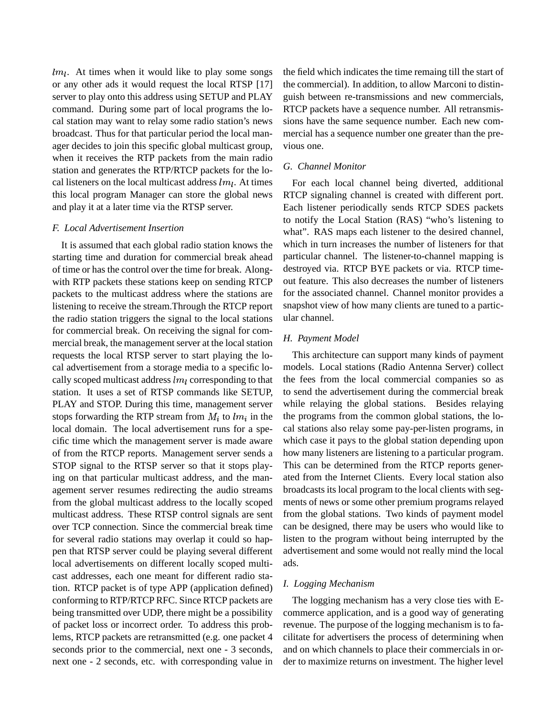$lm_l$ . At times when it would like to play some songs or any other ads it would request the local RTSP [17] server to play onto this address using SETUP and PLAY command. During some part of local programs the local station may want to relay some radio station's news broadcast. Thus for that particular period the local manager decides to join this specific global multicast group, when it receives the RTP packets from the main radio station and generates the RTP/RTCP packets for the local listeners on the local multicast address  $lm_l$ . At times this local program Manager can store the global news and play it at a later time via the RTSP server.

## *F. Local Advertisement Insertion*

It is assumed that each global radio station knows the starting time and duration for commercial break ahead of time or has the control over the time for break. Alongwith RTP packets these stations keep on sending RTCP packets to the multicast address where the stations are listening to receive the stream.Through the RTCP report the radio station triggers the signal to the local stations for commercial break. On receiving the signal for commercial break, the management server at the local station requests the local RTSP server to start playing the local advertisement from a storage media to a specific locally scoped multicast address  $lm_l$  corresponding to that station. It uses a set of RTSP commands like SETUP, PLAY and STOP. During this time, management server stops forwarding the RTP stream from  $M_i$  to  $lm_i$  in the local domain. The local advertisement runs for a specific time which the management server is made aware of from the RTCP reports. Management server sends a STOP signal to the RTSP server so that it stops playing on that particular multicast address, and the management server resumes redirecting the audio streams from the global multicast address to the locally scoped multicast address. These RTSP control signals are sent over TCP connection. Since the commercial break time for several radio stations may overlap it could so happen that RTSP server could be playing several different local advertisements on different locally scoped multicast addresses, each one meant for different radio station. RTCP packet is of type APP (application defined) conforming to RTP/RTCP RFC. Since RTCP packets are being transmitted over UDP, there might be a possibility of packet loss or incorrect order. To address this problems, RTCP packets are retransmitted (e.g. one packet 4 seconds prior to the commercial, next one - 3 seconds, next one - 2 seconds, etc. with corresponding value in the field which indicates the time remaing till the start of the commercial). In addition, to allow Marconi to distinguish between re-transmissions and new commercials, RTCP packets have a sequence number. All retransmissions have the same sequence number. Each new commercial has a sequence number one greater than the previous one.

# *G. Channel Monitor*

For each local channel being diverted, additional RTCP signaling channel is created with different port. Each listener periodically sends RTCP SDES packets to notify the Local Station (RAS) "who's listening to what". RAS maps each listener to the desired channel, which in turn increases the number of listeners for that particular channel. The listener-to-channel mapping is destroyed via. RTCP BYE packets or via. RTCP timeout feature. This also decreases the number of listeners for the associated channel. Channel monitor provides a snapshot view of how many clients are tuned to a particular channel.

## *H. Payment Model*

This architecture can support many kinds of payment models. Local stations (Radio Antenna Server) collect the fees from the local commercial companies so as to send the advertisement during the commercial break while relaying the global stations. Besides relaying the programs from the common global stations, the local stations also relay some pay-per-listen programs, in which case it pays to the global station depending upon how many listeners are listening to a particular program. This can be determined from the RTCP reports generated from the Internet Clients. Every local station also broadcasts its local program to the local clients with segments of news or some other premium programs relayed from the global stations. Two kinds of payment model can be designed, there may be users who would like to listen to the program without being interrupted by the advertisement and some would not really mind the local ads.

# *I. Logging Mechanism*

The logging mechanism has a very close ties with Ecommerce application, and is a good way of generating revenue. The purpose of the logging mechanism is to facilitate for advertisers the process of determining when and on which channels to place their commercials in order to maximize returns on investment. The higher level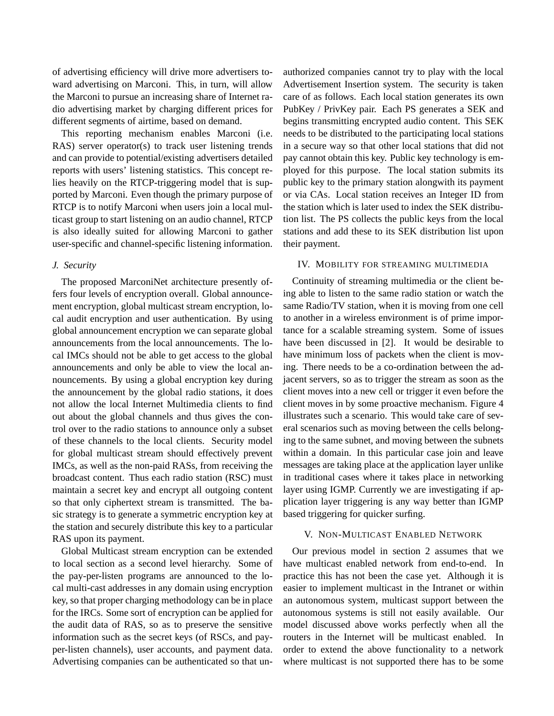of advertising efficiency will drive more advertisers toward advertising on Marconi. This, in turn, will allow the Marconi to pursue an increasing share of Internet radio advertising market by charging different prices for different segments of airtime, based on demand.

This reporting mechanism enables Marconi (i.e. RAS) server operator(s) to track user listening trends and can provide to potential/existing advertisers detailed reports with users' listening statistics. This concept relies heavily on the RTCP-triggering model that is supported by Marconi. Even though the primary purpose of RTCP is to notify Marconi when users join a local multicast group to start listening on an audio channel, RTCP is also ideally suited for allowing Marconi to gather user-specific and channel-specific listening information.

## *J. Security*

The proposed MarconiNet architecture presently offers four levels of encryption overall. Global announcement encryption, global multicast stream encryption, local audit encryption and user authentication. By using global announcement encryption we can separate global announcements from the local announcements. The local IMCs should not be able to get access to the global announcements and only be able to view the local announcements. By using a global encryption key during the announcement by the global radio stations, it does not allow the local Internet Multimedia clients to find out about the global channels and thus gives the control over to the radio stations to announce only a subset of these channels to the local clients. Security model for global multicast stream should effectively prevent IMCs, as well as the non-paid RASs, from receiving the broadcast content. Thus each radio station (RSC) must maintain a secret key and encrypt all outgoing content so that only ciphertext stream is transmitted. The basic strategy is to generate a symmetric encryption key at the station and securely distribute this key to a particular RAS upon its payment.

Global Multicast stream encryption can be extended to local section as a second level hierarchy. Some of the pay-per-listen programs are announced to the local multi-cast addresses in any domain using encryption key, so that proper charging methodology can be in place for the IRCs. Some sort of encryption can be applied for the audit data of RAS, so as to preserve the sensitive information such as the secret keys (of RSCs, and payper-listen channels), user accounts, and payment data. Advertising companies can be authenticated so that unauthorized companies cannot try to play with the local Advertisement Insertion system. The security is taken care of as follows. Each local station generates its own PubKey / PrivKey pair. Each PS generates a SEK and begins transmitting encrypted audio content. This SEK needs to be distributed to the participating local stations in a secure way so that other local stations that did not pay cannot obtain this key. Public key technology is employed for this purpose. The local station submits its public key to the primary station alongwith its payment or via CAs. Local station receives an Integer ID from the station which is later used to index the SEK distribution list. The PS collects the public keys from the local stations and add these to its SEK distribution list upon their payment.

# IV. MOBILITY FOR STREAMING MULTIMEDIA

Continuity of streaming multimedia or the client being able to listen to the same radio station or watch the same Radio/TV station, when it is moving from one cell to another in a wireless environment is of prime importance for a scalable streaming system. Some of issues have been discussed in [2]. It would be desirable to have minimum loss of packets when the client is moving. There needs to be a co-ordination between the adjacent servers, so as to trigger the stream as soon as the client moves into a new cell or trigger it even before the client moves in by some proactive mechanism. Figure 4 illustrates such a scenario. This would take care of several scenarios such as moving between the cells belonging to the same subnet, and moving between the subnets within a domain. In this particular case join and leave messages are taking place at the application layer unlike in traditional cases where it takes place in networking layer using IGMP. Currently we are investigating if application layer triggering is any way better than IGMP based triggering for quicker surfing.

### V. NON-MULTICAST ENABLED NETWORK

Our previous model in section 2 assumes that we have multicast enabled network from end-to-end. In practice this has not been the case yet. Although it is easier to implement multicast in the Intranet or within an autonomous system, multicast support between the autonomous systems is still not easily available. Our model discussed above works perfectly when all the routers in the Internet will be multicast enabled. In order to extend the above functionality to a network where multicast is not supported there has to be some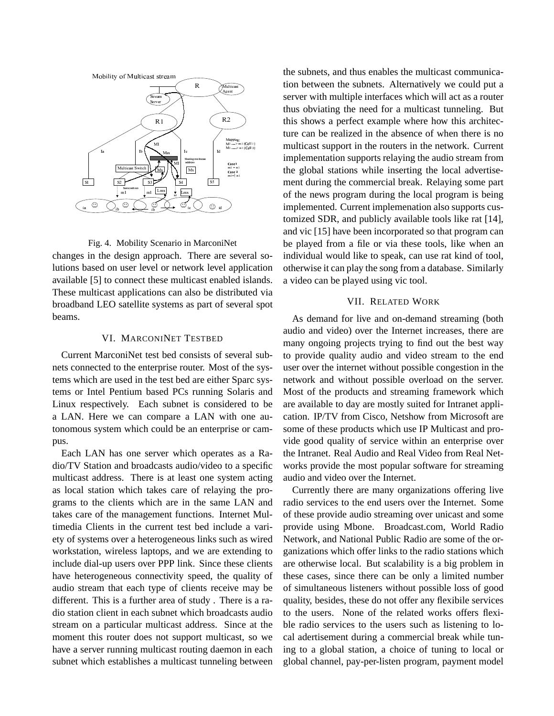

# Fig. 4. Mobility Scenario in MarconiNet

changes in the design approach. There are several solutions based on user level or network level application available [5] to connect these multicast enabled islands. These multicast applications can also be distributed via broadband LEO satellite systems as part of several spot beams.

# VI. MARCONINET TESTBED

Current MarconiNet test bed consists of several subnets connected to the enterprise router. Most of the systems which are used in the test bed are either Sparc systems or Intel Pentium based PCs running Solaris and Linux respectively. Each subnet is considered to be a LAN. Here we can compare a LAN with one autonomous system which could be an enterprise or campus.

Each LAN has one server which operates as a Radio/TV Station and broadcasts audio/video to a specific multicast address. There is at least one system acting as local station which takes care of relaying the programs to the clients which are in the same LAN and takes care of the management functions. Internet Multimedia Clients in the current test bed include a variety of systems over a heterogeneous links such as wired workstation, wireless laptops, and we are extending to include dial-up users over PPP link. Since these clients have heterogeneous connectivity speed, the quality of audio stream that each type of clients receive may be different. This is a further area of study . There is a radio station client in each subnet which broadcasts audio stream on a particular multicast address. Since at the moment this router does not support multicast, so we have a server running multicast routing daemon in each subnet which establishes a multicast tunneling between the subnets, and thus enables the multicast communication between the subnets. Alternatively we could put a server with multiple interfaces which will act as a router thus obviating the need for a multicast tunneling. But this shows a perfect example where how this architecture can be realized in the absence of when there is no multicast support in the routers in the network. Current implementation supports relaying the audio stream from the global stations while inserting the local advertisement during the commercial break. Relaying some part of the news program during the local program is being implemented. Current implemenation also supports customized SDR, and publicly available tools like rat [14], and vic [15] have been incorporated so that program can be played from a file or via these tools, like when an individual would like to speak, can use rat kind of tool, otherwise it can play the song from a database. Similarly a video can be played using vic tool.

# VII. RELATED WORK

As demand for live and on-demand streaming (both audio and video) over the Internet increases, there are many ongoing projects trying to find out the best way to provide quality audio and video stream to the end user over the internet without possible congestion in the network and without possible overload on the server. Most of the products and streaming framework which are available to day are mostly suited for Intranet application. IP/TV from Cisco, Netshow from Microsoft are some of these products which use IP Multicast and provide good quality of service within an enterprise over the Intranet. Real Audio and Real Video from Real Networks provide the most popular software for streaming audio and video over the Internet.

Currently there are many organizations offering live radio services to the end users over the Internet. Some of these provide audio streaming over unicast and some provide using Mbone. Broadcast.com, World Radio Network, and National Public Radio are some of the organizations which offer links to the radio stations which are otherwise local. But scalability is a big problem in these cases, since there can be only a limited number of simultaneous listeners without possible loss of good quality, besides, these do not offer any flexibile services to the users. None of the related works offers flexible radio services to the users such as listening to local adertisement during a commercial break while tuning to a global station, a choice of tuning to local or global channel, pay-per-listen program, payment model